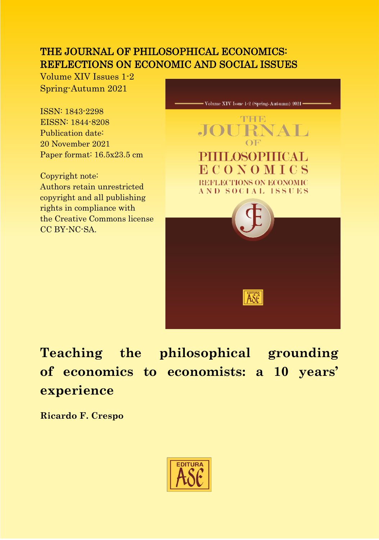## THE JOURNAL OF PHILOSOPHICAL ECONOMICS: REFLECTIONS ON ECONOMIC AND SOCIAL ISSUES

Volume XIV Issues 1-2 Spring-Autumn 2021

ISSN: 1843-2298 EISSN: 1844-8208 Publication date: 20 November 2021 Paper format: 16.5x23.5 cm

Copyright note: Authors retain unrestricted copyright and all publishing rights in compliance with the Creative Commons license CC BY-NC-SA.



# **Teaching the philosophical grounding of economics to economists: a 10 years' experience**

**Ricardo F. Crespo**

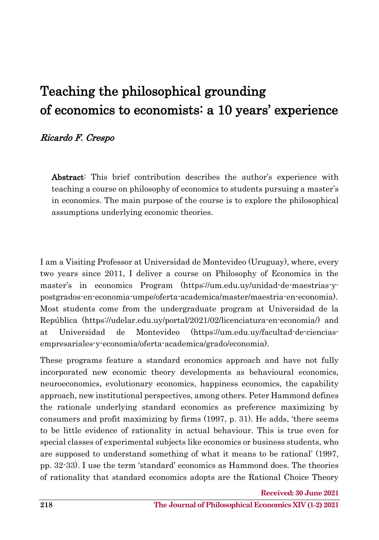## Teaching the philosophical grounding of economics to economists: a 10 years' experience

#### Ricardo F. Crespo

Abstract: This brief contribution describes the author's experience with teaching a course on philosophy of economics to students pursuing a master's in economics. The main purpose of the course is to explore the philosophical assumptions underlying economic theories.

I am a Visiting Professor at Universidad de Montevideo (Uruguay), where, every two years since 2011, I deliver a course on Philosophy of Economics in the master's in economics Program (https://um.edu.uy/unidad-de-maestrias-ypostgrados-en-economia-umpe/oferta-academica/master/maestria-en-economia). Most students come from the undergraduate program at Universidad de la República (https://udelar.edu.uy/portal/2021/02/licenciatura-en-economia/) and at Universidad de Montevideo (https://um.edu.uy/facultad-de-cienciasempresariales-y-economia/oferta-academica/grado/economia).

These programs feature a standard economics approach and have not fully incorporated new economic theory developments as behavioural economics, neuroeconomics, evolutionary economics, happiness economics, the capability approach, new institutional perspectives, among others. Peter Hammond defines the rationale underlying standard economics as preference maximizing by consumers and profit maximizing by firms (1997, p. 31). He adds, 'there seems to be little evidence of rationality in actual behaviour. This is true even for special classes of experimental subjects like economics or business students, who are supposed to understand something of what it means to be rational' (1997, pp. 32-33). I use the term 'standard' economics as Hammond does. The theories of rationality that standard economics adopts are the Rational Choice Theory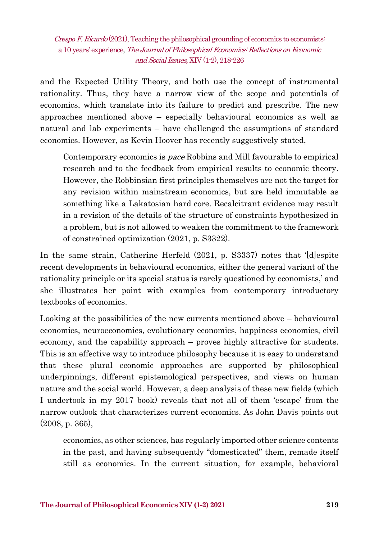and the Expected Utility Theory, and both use the concept of instrumental rationality. Thus, they have a narrow view of the scope and potentials of economics, which translate into its failure to predict and prescribe. The new approaches mentioned above – especially behavioural economics as well as natural and lab experiments – have challenged the assumptions of standard economics. However, as Kevin Hoover has recently suggestively stated,

Contemporary economics is pace Robbins and Mill favourable to empirical research and to the feedback from empirical results to economic theory. However, the Robbinsian first principles themselves are not the target for any revision within mainstream economics, but are held immutable as something like a Lakatosian hard core. Recalcitrant evidence may result in a revision of the details of the structure of constraints hypothesized in a problem, but is not allowed to weaken the commitment to the framework of constrained optimization (2021, p. S3322).

In the same strain, Catherine Herfeld (2021, p. S3337) notes that '[d]espite recent developments in behavioural economics, either the general variant of the rationality principle or its special status is rarely questioned by economists,' and she illustrates her point with examples from contemporary introductory textbooks of economics.

Looking at the possibilities of the new currents mentioned above – behavioural economics, neuroeconomics, evolutionary economics, happiness economics, civil economy, and the capability approach – proves highly attractive for students. This is an effective way to introduce philosophy because it is easy to understand that these plural economic approaches are supported by philosophical underpinnings, different epistemological perspectives, and views on human nature and the social world. However, a deep analysis of these new fields (which I undertook in my 2017 book) reveals that not all of them 'escape' from the narrow outlook that characterizes current economics. As John Davis points out (2008, p. 365),

economics, as other sciences, has regularly imported other science contents in the past, and having subsequently "domesticated" them, remade itself still as economics. In the current situation, for example, behavioral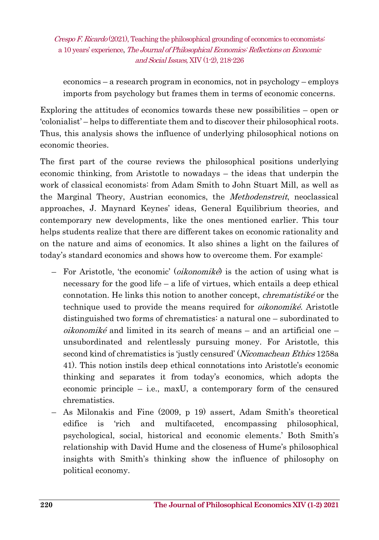economics – a research program in economics, not in psychology – employs imports from psychology but frames them in terms of economic concerns.

Exploring the attitudes of economics towards these new possibilities – open or 'colonialist' – helps to differentiate them and to discover their philosophical roots. Thus, this analysis shows the influence of underlying philosophical notions on economic theories.

The first part of the course reviews the philosophical positions underlying economic thinking, from Aristotle to nowadays – the ideas that underpin the work of classical economists: from Adam Smith to John Stuart Mill, as well as the Marginal Theory, Austrian economics, the *Methodenstreit*, neoclassical approaches, J. Maynard Keynes' ideas, General Equilibrium theories, and contemporary new developments, like the ones mentioned earlier. This tour helps students realize that there are different takes on economic rationality and on the nature and aims of economics. It also shines a light on the failures of today's standard economics and shows how to overcome them. For example:

- For Aristotle, 'the economic' (*oikonomiké*) is the action of using what is necessary for the good life – a life of virtues, which entails a deep ethical connotation. He links this notion to another concept, chrematistiké or the technique used to provide the means required for *oikonomiké*. Aristotle distinguished two forms of chrematistics: a natural one – subordinated to *oikonomiké* and limited in its search of means – and an artificial one – unsubordinated and relentlessly pursuing money. For Aristotle, this second kind of chrematistics is 'justly censured' (Nicomachean Ethics 1258a) 41). This notion instils deep ethical connotations into Aristotle's economic thinking and separates it from today's economics, which adopts the economic principle – i.e., maxU, a contemporary form of the censured chrematistics.
- As Milonakis and Fine (2009, p 19) assert, Adam Smith's theoretical edifice is 'rich and multifaceted, encompassing philosophical, psychological, social, historical and economic elements.' Both Smith's relationship with David Hume and the closeness of Hume's philosophical insights with Smith's thinking show the influence of philosophy on political economy.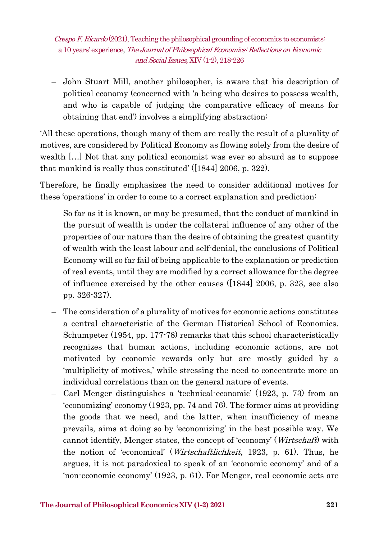– John Stuart Mill, another philosopher, is aware that his description of political economy (concerned with 'a being who desires to possess wealth, and who is capable of judging the comparative efficacy of means for obtaining that end') involves a simplifying abstraction:

'All these operations, though many of them are really the result of a plurality of motives, are considered by Political Economy as flowing solely from the desire of wealth […] Not that any political economist was ever so absurd as to suppose that mankind is really thus constituted' ([1844] 2006, p. 322).

Therefore, he finally emphasizes the need to consider additional motives for these 'operations' in order to come to a correct explanation and prediction:

So far as it is known, or may be presumed, that the conduct of mankind in the pursuit of wealth is under the collateral influence of any other of the properties of our nature than the desire of obtaining the greatest quantity of wealth with the least labour and self-denial, the conclusions of Political Economy will so far fail of being applicable to the explanation or prediction of real events, until they are modified by a correct allowance for the degree of influence exercised by the other causes ([1844] 2006, p. 323, see also pp. 326-327).

- The consideration of a plurality of motives for economic actions constitutes a central characteristic of the German Historical School of Economics. Schumpeter (1954, pp. 177-78) remarks that this school characteristically recognizes that human actions, including economic actions, are not motivated by economic rewards only but are mostly guided by a 'multiplicity of motives,' while stressing the need to concentrate more on individual correlations than on the general nature of events.
- Carl Menger distinguishes a 'technical-economic' (1923, p. 73) from an 'economizing' economy (1923, pp. 74 and 76). The former aims at providing the goods that we need, and the latter, when insufficiency of means prevails, aims at doing so by 'economizing' in the best possible way. We cannot identify, Menger states, the concept of 'economy' (Wirtschaft) with the notion of 'economical' (Wirtschaftlichkeit, 1923, p. 61). Thus, he argues, it is not paradoxical to speak of an 'economic economy' and of a 'non-economic economy' (1923, p. 61). For Menger, real economic acts are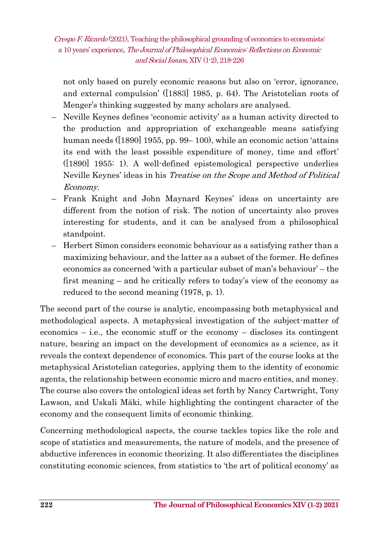not only based on purely economic reasons but also on 'error, ignorance, and external compulsion' ([1883] 1985, p. 64). The Aristotelian roots of Menger's thinking suggested by many scholars are analysed.

- Neville Keynes defines 'economic activity' as a human activity directed to the production and appropriation of exchangeable means satisfying human needs ([1890] 1955, pp. 99– 100), while an economic action 'attains its end with the least possible expenditure of money, time and effort' ([1890] 1955: 1). A well-defined epistemological perspective underlies Neville Keynes' ideas in his Treatise on the Scope and Method of Political Economy.
- Frank Knight and John Maynard Keynes' ideas on uncertainty are different from the notion of risk. The notion of uncertainty also proves interesting for students, and it can be analysed from a philosophical standpoint.
- Herbert Simon considers economic behaviour as a satisfying rather than a maximizing behaviour, and the latter as a subset of the former. He defines economics as concerned 'with a particular subset of man's behaviour' – the first meaning – and he critically refers to today's view of the economy as reduced to the second meaning (1978, p. 1).

The second part of the course is analytic, encompassing both metaphysical and methodological aspects. A metaphysical investigation of the subject-matter of economics – i.e., the economic stuff or the economy – discloses its contingent nature, bearing an impact on the development of economics as a science, as it reveals the context dependence of economics. This part of the course looks at the metaphysical Aristotelian categories, applying them to the identity of economic agents, the relationship between economic micro and macro entities, and money. The course also covers the ontological ideas set forth by Nancy Cartwright, Tony Lawson, and Uskali Mäki, while highlighting the contingent character of the economy and the consequent limits of economic thinking.

Concerning methodological aspects, the course tackles topics like the role and scope of statistics and measurements, the nature of models, and the presence of abductive inferences in economic theorizing. It also differentiates the disciplines constituting economic sciences, from statistics to 'the art of political economy' as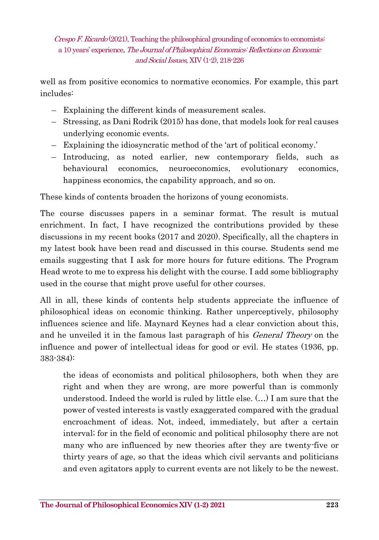well as from positive economics to normative economics. For example, this part includes:

- Explaining the different kinds of measurement scales.
- Stressing, as Dani Rodrik (2015) has done, that models look for real causes underlying economic events.
- Explaining the idiosyncratic method of the 'art of political economy.'
- Introducing, as noted earlier, new contemporary fields, such as behavioural economics, neuroeconomics, evolutionary economics, happiness economics, the capability approach, and so on.

These kinds of contents broaden the horizons of young economists.

The course discusses papers in a seminar format. The result is mutual enrichment. In fact, I have recognized the contributions provided by these discussions in my recent books (2017 and 2020). Specifically, all the chapters in my latest book have been read and discussed in this course. Students send me emails suggesting that I ask for more hours for future editions. The Program Head wrote to me to express his delight with the course. I add some bibliography used in the course that might prove useful for other courses.

All in all, these kinds of contents help students appreciate the influence of philosophical ideas on economic thinking. Rather unperceptively, philosophy influences science and life. Maynard Keynes had a clear conviction about this, and he unveiled it in the famous last paragraph of his *General Theory* on the influence and power of intellectual ideas for good or evil. He states (1936, pp. 383-384):

the ideas of economists and political philosophers, both when they are right and when they are wrong, are more powerful than is commonly understood. Indeed the world is ruled by little else. (…) I am sure that the power of vested interests is vastly exaggerated compared with the gradual encroachment of ideas. Not, indeed, immediately, but after a certain interval; for in the field of economic and political philosophy there are not many who are influenced by new theories after they are twenty-five or thirty years of age, so that the ideas which civil servants and politicians and even agitators apply to current events are not likely to be the newest.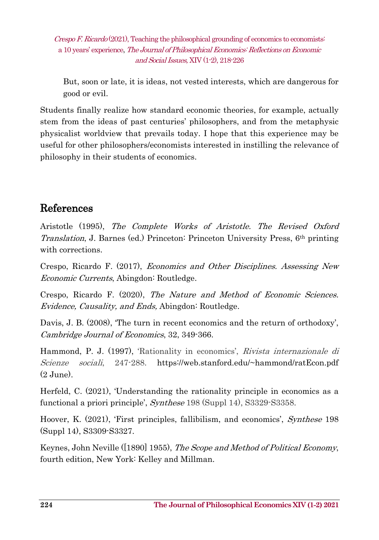But, soon or late, it is ideas, not vested interests, which are dangerous for good or evil.

Students finally realize how standard economic theories, for example, actually stem from the ideas of past centuries' philosophers, and from the metaphysic physicalist worldview that prevails today. I hope that this experience may be useful for other philosophers/economists interested in instilling the relevance of philosophy in their students of economics.

## References

Aristotle (1995), The Complete Works of Aristotle. The Revised Oxford Translation, J. Barnes (ed.) Princeton: Princeton University Press, 6th printing with corrections.

Crespo, Ricardo F. (2017), Economics and Other Disciplines. Assessing New Economic Currents, Abingdon: Routledge.

Crespo, Ricardo F. (2020), The Nature and Method of Economic Sciences. Evidence, Causality, and Ends, Abingdon: Routledge.

Davis, J. B. (2008), 'The turn in recent economics and the return of orthodoxy', Cambridge Journal of Economics, 32, 349-366.

Hammond, P. J. (1997), 'Rationality in economics', *Rivista internazionale di* Scienze sociali, 247-288. https://web.stanford.edu/~hammond/ratEcon.pdf  $(2 \text{ June})$ .

Herfeld, C. (2021), 'Understanding the rationality principle in economics as a functional a priori principle', Synthese 198 (Suppl 14), S3329-S3358.

Hoover, K. (2021), 'First principles, fallibilism, and economics', Synthese 198 (Suppl 14), S3309-S3327.

Keynes, John Neville ([1890] 1955), The Scope and Method of Political Economy, fourth edition, New York: Kelley and Millman.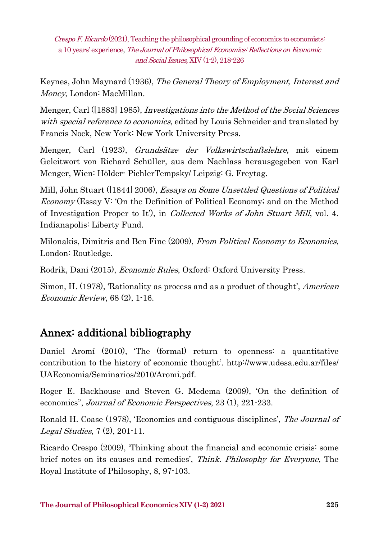Keynes, John Maynard (1936), *The General Theory of Employment, Interest and* Money, London: MacMillan.

Menger, Carl ([1883] 1985), Investigations into the Method of the Social Sciences with special reference to economics, edited by Louis Schneider and translated by Francis Nock, New York: New York University Press.

Menger, Carl (1923), Grundsätze der Volkswirtschaftslehre, mit einem Geleitwort von Richard Schüller, aus dem Nachlass herausgegeben von Karl Menger, Wien: Hölder- PichlerTempsky/ Leipzig: G. Freytag.

Mill, John Stuart ([1844] 2006), *Essays on Some Unsettled Questions of Political* Economy (Essay V: 'On the Definition of Political Economy; and on the Method of Investigation Proper to It'), in Collected Works of John Stuart Mill, vol. 4. Indianapolis: Liberty Fund.

Milonakis, Dimitris and Ben Fine (2009), From Political Economy to Economics, London: Routledge.

Rodrik, Dani (2015), Economic Rules, Oxford: Oxford University Press.

Simon, H. (1978), 'Rationality as process and as a product of thought', American Economic Review, 68 (2), 1-16.

## Annex: additional bibliography

Daniel Aromí (2010), 'The (formal) return to openness: a quantitative contribution to the history of economic thought'. http://www.udesa.edu.ar/files/ UAEconomia/Seminarios/2010/Aromi.pdf.

Roger E. Backhouse and Steven G. Medema (2009), 'On the definition of economics", Journal of Economic Perspectives, 23 (1), 221-233.

Ronald H. Coase (1978), 'Economics and contiguous disciplines', The Journal of Legal Studies, 7 (2), 201-11.

Ricardo Crespo (2009), 'Thinking about the financial and economic crisis: some brief notes on its causes and remedies', Think. Philosophy for Everyone, The Royal Institute of Philosophy, 8, 97-103.